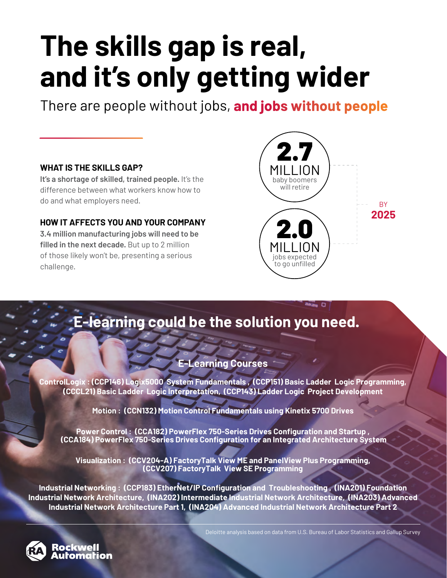# **The skills gap is real, and it's only getting wider**

There are people without jobs, **and jobs without people**

#### **WHAT IS THE SKILLS GAP?**

**It's a shortage of skilled, trained people.** It's the difference between what workers know how to do and what employers need.

#### **HOW IT AFFECTS YOU AND YOUR COMPANY**

**3.4 million manufacturing jobs will need to be filled in the next decade.** But up to 2 million of those likely won't be, presenting a serious challenge.



## **E-learning could be the solution you need.**

#### **E-Learning Courses**

**ControlLogix : (CCP146) Logix5000 System Fundamentals , (CCP151) Basic Ladder Logic Programming, (CCCL21) Basic Ladder Logic Interpretation, (CCP143) Ladder Logic Project Development**

**Motion : (CCN132) Motion Control Fundamentals using Kinetix 5700 Drives**

**Power Control : (CCA182) PowerFlex 750-Series Drives Configuration and Startup , (CCA184) PowerFlex 750-Series Drives Configuration for an Integrated Architecture System** 

**Visualization : (CCV204-A) FactoryTalk View ME and PanelView Plus Programming, (CCV207) FactoryTalk View SE Programming**

**Industrial Networking : (CCP183) EtherNet/IP Configuration and Troubleshooting , (INA201) Foundation Industrial Network Architecture, (INA202) Intermediate Industrial Network Architecture, (INA203) Advanced Industrial Network Architecture Part 1, (INA204) Advanced Industrial Network Architecture Part 2**



<u>ockwell</u>

Deloitte analysis based on data from U.S. Bureau of Labor Statistics and Gallup Survey